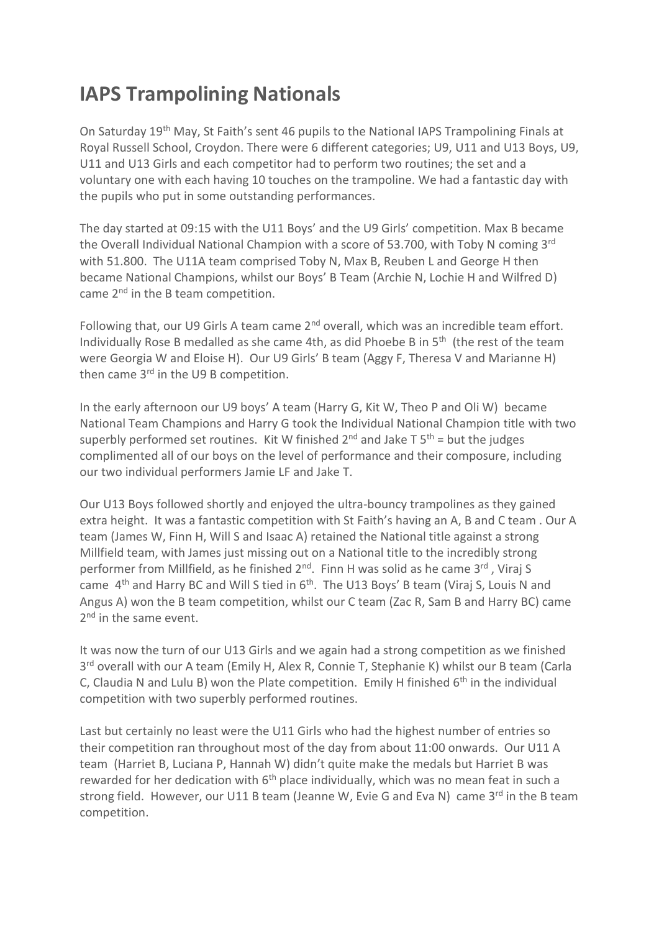## **IAPS Trampolining Nationals**

On Saturday 19th May, St Faith's sent 46 pupils to the National IAPS Trampolining Finals at Royal Russell School, Croydon. There were 6 different categories; U9, U11 and U13 Boys, U9, U11 and U13 Girls and each competitor had to perform two routines; the set and a voluntary one with each having 10 touches on the trampoline. We had a fantastic day with the pupils who put in some outstanding performances.

The day started at 09:15 with the U11 Boys' and the U9 Girls' competition. Max B became the Overall Individual National Champion with a score of 53.700, with Toby N coming 3rd with 51.800. The U11A team comprised Toby N, Max B, Reuben L and George H then became National Champions, whilst our Boys' B Team (Archie N, Lochie H and Wilfred D) came 2<sup>nd</sup> in the B team competition.

Following that, our U9 Girls A team came 2<sup>nd</sup> overall, which was an incredible team effort. Individually Rose B medalled as she came 4th, as did Phoebe B in 5<sup>th</sup> (the rest of the team were Georgia W and Eloise H). Our U9 Girls' B team (Aggy F, Theresa V and Marianne H) then came 3<sup>rd</sup> in the U9 B competition.

In the early afternoon our U9 boys' A team (Harry G, Kit W, Theo P and Oli W) became National Team Champions and Harry G took the Individual National Champion title with two superbly performed set routines. Kit W finished  $2^{nd}$  and Jake T  $5^{th}$  = but the judges complimented all of our boys on the level of performance and their composure, including our two individual performers Jamie LF and Jake T.

Our U13 Boys followed shortly and enjoyed the ultra-bouncy trampolines as they gained extra height. It was a fantastic competition with St Faith's having an A, B and C team . Our A team (James W, Finn H, Will S and Isaac A) retained the National title against a strong Millfield team, with James just missing out on a National title to the incredibly strong performer from Millfield, as he finished 2<sup>nd</sup>. Finn H was solid as he came 3<sup>rd</sup>, Viraj S came  $4<sup>th</sup>$  and Harry BC and Will S tied in  $6<sup>th</sup>$ . The U13 Boys' B team (Viraj S, Louis N and Angus A) won the B team competition, whilst our C team (Zac R, Sam B and Harry BC) came 2<sup>nd</sup> in the same event.

It was now the turn of our U13 Girls and we again had a strong competition as we finished 3<sup>rd</sup> overall with our A team (Emily H, Alex R, Connie T, Stephanie K) whilst our B team (Carla C, Claudia N and Lulu B) won the Plate competition. Emily H finished  $6<sup>th</sup>$  in the individual competition with two superbly performed routines.

Last but certainly no least were the U11 Girls who had the highest number of entries so their competition ran throughout most of the day from about 11:00 onwards. Our U11 A team (Harriet B, Luciana P, Hannah W) didn't quite make the medals but Harriet B was rewarded for her dedication with  $6<sup>th</sup>$  place individually, which was no mean feat in such a strong field. However, our U11 B team (Jeanne W, Evie G and Eva N) came  $3^{rd}$  in the B team competition.